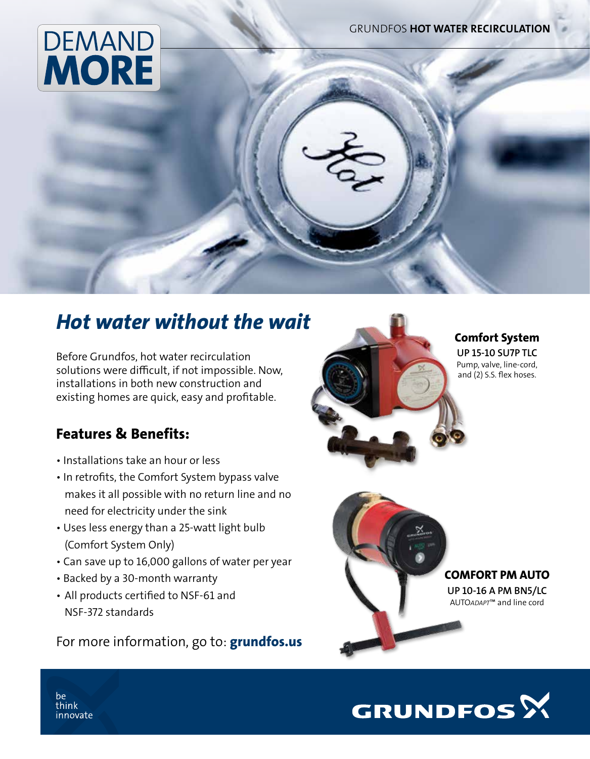grundfos HOT WATER RECIRCULATION

# **DEMAND MORE**

## *Hot water without the wait*

Before Grundfos, hot water recirculation solutions were difficult, if not impossible. Now, installations in both new construction and existing homes are quick, easy and profitable.

## Features & Benefits:

- Installations take an hour or less
- In retrofits, the Comfort System bypass valve makes it all possible with no return line and no need for electricity under the sink
- Uses less energy than a 25-watt light bulb (Comfort System Only)
- Can save up to 16,000 gallons of water per year
- Backed by a 30-month warranty
- All products certified to NSF-61 and NSF-372 standards

For more information, go to: **grundfos.us** 



#### Comfort System UP 15-10 SU7P TLC

Pump, valve, line-cord, and (2) S.S. flex hoses.



Comfort PM Auto

UP 10-16 A PM BN5/LC AUTO*ADAPT*™ and line cord



be think innovate